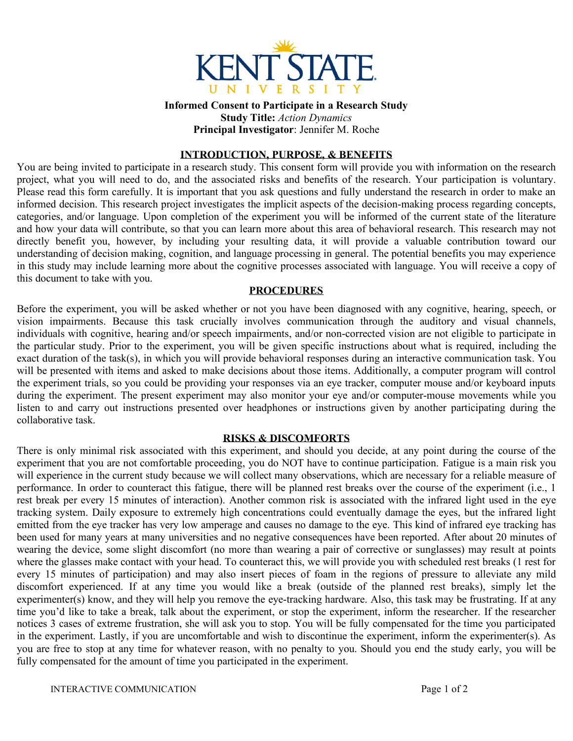

**Informed Consent to Participate in a Research Study Study Title:** *Action Dynamics* **Principal Investigator**: Jennifer M. Roche

#### **INTRODUCTION, PURPOSE, & BENEFITS**

You are being invited to participate in a research study. This consent form will provide you with information on the research project, what you will need to do, and the associated risks and benefits of the research. Your participation is voluntary. Please read this form carefully. It is important that you ask questions and fully understand the research in order to make an informed decision. This research project investigates the implicit aspects of the decision-making process regarding concepts, categories, and/or language. Upon completion of the experiment you will be informed of the current state of the literature and how your data will contribute, so that you can learn more about this area of behavioral research. This research may not directly benefit you, however, by including your resulting data, it will provide a valuable contribution toward our understanding of decision making, cognition, and language processing in general. The potential benefits you may experience in this study may include learning more about the cognitive processes associated with language. You will receive a copy of this document to take with you.

#### **PROCEDURES**

Before the experiment, you will be asked whether or not you have been diagnosed with any cognitive, hearing, speech, or vision impairments. Because this task crucially involves communication through the auditory and visual channels, individuals with cognitive, hearing and/or speech impairments, and/or non-corrected vision are not eligible to participate in the particular study. Prior to the experiment, you will be given specific instructions about what is required, including the exact duration of the task(s), in which you will provide behavioral responses during an interactive communication task. You will be presented with items and asked to make decisions about those items. Additionally, a computer program will control the experiment trials, so you could be providing your responses via an eye tracker, computer mouse and/or keyboard inputs during the experiment. The present experiment may also monitor your eye and/or computer-mouse movements while you listen to and carry out instructions presented over headphones or instructions given by another participating during the collaborative task.

## **RISKS & DISCOMFORTS**

There is only minimal risk associated with this experiment, and should you decide, at any point during the course of the experiment that you are not comfortable proceeding, you do NOT have to continue participation. Fatigue is a main risk you will experience in the current study because we will collect many observations, which are necessary for a reliable measure of performance. In order to counteract this fatigue, there will be planned rest breaks over the course of the experiment (i.e., 1 rest break per every 15 minutes of interaction). Another common risk is associated with the infrared light used in the eye tracking system. Daily exposure to extremely high concentrations could eventually damage the eyes, but the infrared light emitted from the eye tracker has very low amperage and causes no damage to the eye. This kind of infrared eye tracking has been used for many years at many universities and no negative consequences have been reported. After about 20 minutes of wearing the device, some slight discomfort (no more than wearing a pair of corrective or sunglasses) may result at points where the glasses make contact with your head. To counteract this, we will provide you with scheduled rest breaks (1 rest for every 15 minutes of participation) and may also insert pieces of foam in the regions of pressure to alleviate any mild discomfort experienced. If at any time you would like a break (outside of the planned rest breaks), simply let the experimenter(s) know, and they will help you remove the eye-tracking hardware. Also, this task may be frustrating. If at any time you'd like to take a break, talk about the experiment, or stop the experiment, inform the researcher. If the researcher notices 3 cases of extreme frustration, she will ask you to stop. You will be fully compensated for the time you participated in the experiment. Lastly, if you are uncomfortable and wish to discontinue the experiment, inform the experimenter(s). As you are free to stop at any time for whatever reason, with no penalty to you. Should you end the study early, you will be fully compensated for the amount of time you participated in the experiment.